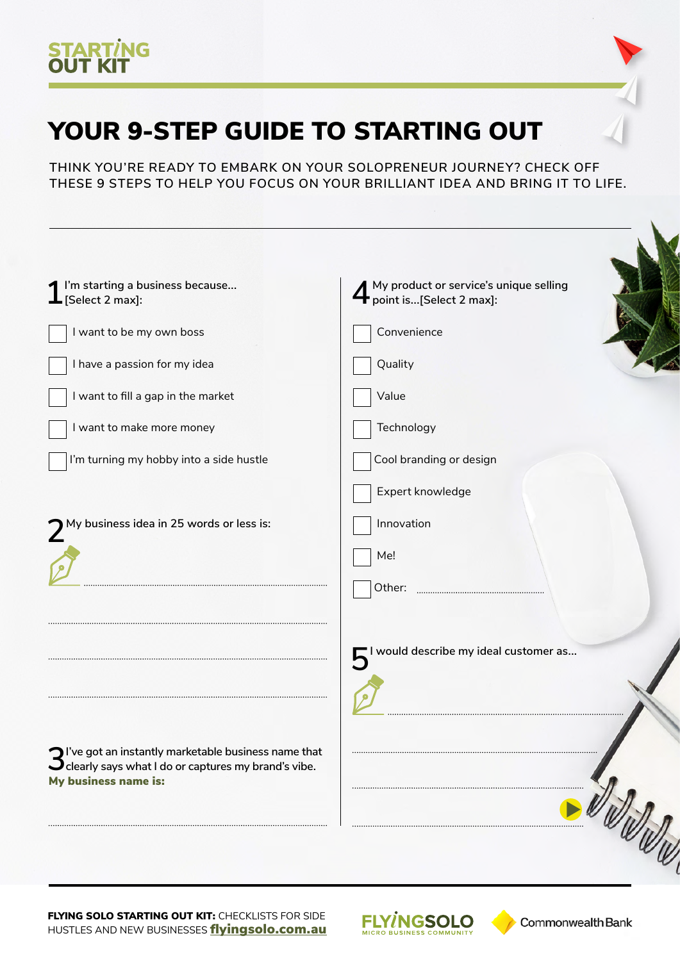

## YOUR 9-STEP GUIDE TO STARTING OUT

**THINK YOU'RE READY TO EMBARK ON YOUR SOLOPRENEUR JOURNEY? CHECK OFF THESE 9 STEPS TO HELP YOU FOCUS ON YOUR BRILLIANT IDEA AND BRING IT TO LIFE.**

| I'm starting a business because<br>$\perp$ [Select 2 max]:                                  | A My product or service's unique selling<br>point is[Select 2 max]: |
|---------------------------------------------------------------------------------------------|---------------------------------------------------------------------|
| I want to be my own boss                                                                    | Convenience                                                         |
| I have a passion for my idea                                                                | Quality                                                             |
| I want to fill a gap in the market                                                          | Value                                                               |
| I want to make more money                                                                   | Technology                                                          |
| I'm turning my hobby into a side hustle                                                     | Cool branding or design                                             |
|                                                                                             | Expert knowledge                                                    |
| $\boldsymbol{Z}^{\text{My}}$ business idea in 25 words or less is:                          | Innovation                                                          |
|                                                                                             | Me!                                                                 |
|                                                                                             | Other:                                                              |
|                                                                                             |                                                                     |
|                                                                                             | I would describe my ideal customer as                               |
|                                                                                             |                                                                     |
|                                                                                             |                                                                     |
| $\bigcap$ I've got an instantly marketable business name that                               |                                                                     |
| $\mathbf{\cup}$ clearly says what I do or captures my brand's vibe.<br>My business name is: |                                                                     |
|                                                                                             |                                                                     |

FLYING SOLO STARTING OUT KIT: CHECKLISTS FOR SIDE HUSTLES AND NEW BUSINESSES **fl[yingsolo.com.au](http://flyingsolo.com.au)**